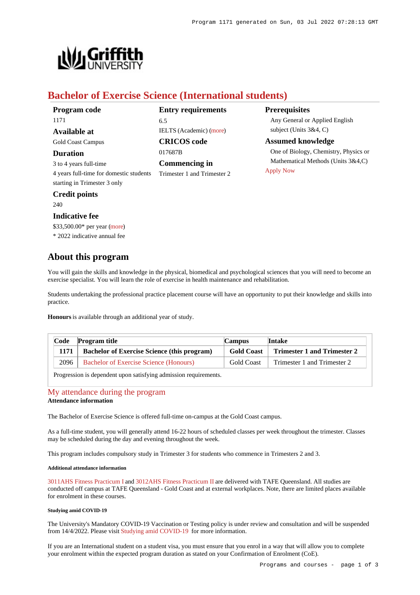**Prerequisites**

[Apply Now](https://www148.griffith.edu.au/programs-courses/Program/1171/HowToApply/International#process)

Any General or Applied English

One of Biology, Chemistry, Physics or Mathematical Methods (Units 3&4,C)

subject (Units 3&4, C) **Assumed knowledge**



# **Bachelor of Exercise Science (International students)**

017687B

6.5

**Entry requirements**

IELTS (Academic) [\(more](https://www148.griffith.edu.au/programs-courses/Program/1171/HowToApply/International#language))

**CRICOS code**

**Commencing in** Trimester 1 and Trimester 2

| Program code |  |
|--------------|--|
| 1171         |  |
| Available at |  |

Gold Coast Campus

**Duration**

3 to 4 years full-time 4 years full-time for domestic students starting in Trimester 3 only

# **Credit points**

240

# **Indicative fee**

\$33,500.00\* per year [\(more](https://www148.griffith.edu.au/programs-courses/Program/1171/Overview/International#fees))

\* 2022 indicative annual fee

# **About this program**

You will gain the skills and knowledge in the physical, biomedical and psychological sciences that you will need to become an exercise specialist. You will learn the role of exercise in health maintenance and rehabilitation.

Students undertaking the professional practice placement course will have an opportunity to put their knowledge and skills into practice.

**Honours** is available through an additional year of study.

| Code | <b>Program title</b>                               | <b>Campus</b>     | Intake                      |
|------|----------------------------------------------------|-------------------|-----------------------------|
| 1171 | <b>Bachelor of Exercise Science (this program)</b> | <b>Gold Coast</b> | Trimester 1 and Trimester 2 |
| 2096 | <b>Bachelor of Exercise Science (Honours)</b>      | Gold Coast        | Trimester 1 and Trimester 2 |

Progression is dependent upon satisfying admission requirements.

# [My attendance during the program](https://www148.griffith.edu.au/programs-courses/Program/1171/Overview/International#attendance) **Attendance information**

The Bachelor of Exercise Science is offered full-time on-campus at the Gold Coast campus.

As a full-time student, you will generally attend 16-22 hours of scheduled classes per week throughout the trimester. Classes may be scheduled during the day and evening throughout the week.

This program includes compulsory study in Trimester 3 for students who commence in Trimesters 2 and 3.

### **Additional attendance information**

[3011AHS Fitness Practicum I](https://www148.griffith.edu.au/Course/3011AHS) and [3012AHS Fitness Practicum II](https://www148.griffith.edu.au/Course/3012AHS) are delivered with TAFE Queensland. All studies are conducted off campus at TAFE Queensland - Gold Coast and at external workplaces. Note, there are limited places available for enrolment in these courses.

#### **Studying amid COVID-19**

The University's Mandatory COVID-19 Vaccination or Testing policy is under review and consultation and will be suspended from 14/4/2022. Please visit [Studying amid COVID-19](https://www.griffith.edu.au/coronavirus/studying-amid-covid-19) for more information.

If you are an International student on a student visa, you must ensure that you enrol in a way that will allow you to complete your enrolment within the expected program duration as stated on your Confirmation of Enrolment (CoE).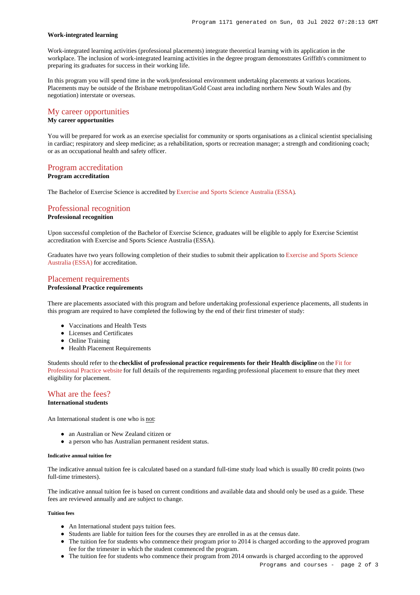#### **Work-integrated learning**

Work-integrated learning activities (professional placements) integrate theoretical learning with its application in the workplace. The inclusion of work-integrated learning activities in the degree program demonstrates Griffith's commitment to preparing its graduates for success in their working life.

In this program you will spend time in the work/professional environment undertaking placements at various locations. Placements may be outside of the Brisbane metropolitan/Gold Coast area including northern New South Wales and (by negotiation) interstate or overseas.

# [My career opportunities](https://www148.griffith.edu.au/programs-courses/Program/1171/Overview/International#opportunities)

# **My career opportunities**

You will be prepared for work as an exercise specialist for community or sports organisations as a clinical scientist specialising in cardiac; respiratory and sleep medicine; as a rehabilitation, sports or recreation manager; a strength and conditioning coach; or as an occupational health and safety officer.

## [Program accreditation](https://www148.griffith.edu.au/programs-courses/Program/1171/Overview/International#accreditation)

#### **Program accreditation**

The Bachelor of Exercise Science is accredited by [Exercise and Sports Science Australia \(ESSA\)](https://www.essa.org.au/).

# [Professional recognition](https://www148.griffith.edu.au/programs-courses/Program/1171/Overview/International#recognition)

#### **Professional recognition**

Upon successful completion of the Bachelor of Exercise Science, graduates will be eligible to apply for Exercise Scientist accreditation with Exercise and Sports Science Australia (ESSA).

Graduates have two years following completion of their studies to submit their application to [Exercise and Sports Science](https://www.essa.org.au/) [Australia \(ESSA\)](https://www.essa.org.au/) for accreditation.

## [Placement requirements](https://www148.griffith.edu.au/programs-courses/Program/1171/Overview/International#placement)

#### **Professional Practice requirements**

There are placements associated with this program and before undertaking professional experience placements, all students in this program are required to have completed the following by the end of their first trimester of study:

- Vaccinations and Health Tests
- Licenses and Certificates
- Online Training
- Health Placement Requirements

Students should refer to the **checklist of professional practice requirements for their Health discipline** on the [Fit for](https://www.griffith.edu.au/griffith-health/fit-for-professional-practice) [Professional Practice website](https://www.griffith.edu.au/griffith-health/fit-for-professional-practice) for full details of the requirements regarding professional placement to ensure that they meet eligibility for placement.

# [What are the fees?](https://www148.griffith.edu.au/programs-courses/Program/1171/Overview/International#fees)

# **International students**

An International student is one who is not:

- an Australian or New Zealand citizen or
- a person who has Australian permanent resident status.

#### **Indicative annual tuition fee**

The indicative annual tuition fee is calculated based on a standard full-time study load which is usually 80 credit points (two full-time trimesters).

The indicative annual tuition fee is based on current conditions and available data and should only be used as a guide. These fees are reviewed annually and are subject to change.

#### **Tuition fees**

- An International student pays tuition fees.
- Students are liable for tuition fees for the courses they are enrolled in as at the census date.
- The tuition fee for students who commence their program prior to 2014 is charged according to the approved program fee for the trimester in which the student commenced the program.
- The tuition fee for students who commence their program from 2014 onwards is charged according to the approved